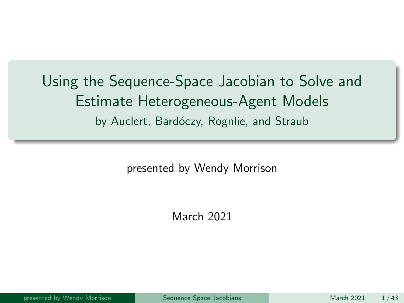<span id="page-0-0"></span>Using the Sequence-Space Jacobian to Solve and Estimate Heterogeneous-Agent Models by Auclert, Bardóczy, Rognlie, and Straub

presented by Wendy Morrison

March 2021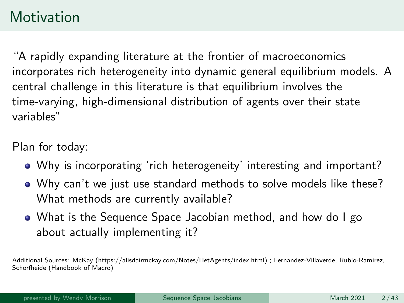### **Motivation**

"A rapidly expanding literature at the frontier of macroeconomics incorporates rich heterogeneity into dynamic general equilibrium models. A central challenge in this literature is that equilibrium involves the time-varying, high-dimensional distribution of agents over their state variables"

Plan for today:

- Why is incorporating 'rich heterogeneity' interesting and important?
- Why can't we just use standard methods to solve models like these? What methods are currently available?
- What is the Sequence Space Jacobian method, and how do I go about actually implementing it?

Additional Sources: McKay (https://alisdairmckay.com/Notes/HetAgents/index.html) ; Fernandez-Villaverde, Rubio-Ramirez, Schorfheide (Handbook of Macro)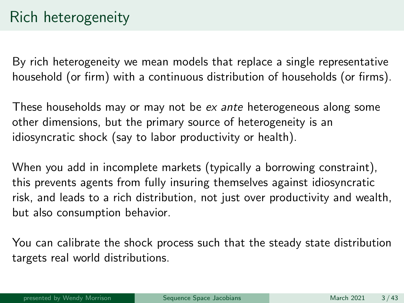By rich heterogeneity we mean models that replace a single representative household (or firm) with a continuous distribution of households (or firms).

These households may or may not be ex ante heterogeneous along some other dimensions, but the primary source of heterogeneity is an idiosyncratic shock (say to labor productivity or health).

When you add in incomplete markets (typically a borrowing constraint), this prevents agents from fully insuring themselves against idiosyncratic risk, and leads to a rich distribution, not just over productivity and wealth, but also consumption behavior.

You can calibrate the shock process such that the steady state distribution targets real world distributions.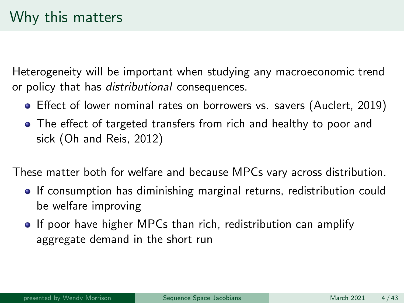Heterogeneity will be important when studying any macroeconomic trend or policy that has distributional consequences.

- Effect of lower nominal rates on borrowers vs. savers (Auclert, 2019)
- The effect of targeted transfers from rich and healthy to poor and sick (Oh and Reis, 2012)

These matter both for welfare and because MPCs vary across distribution.

- If consumption has diminishing marginal returns, redistribution could be welfare improving
- If poor have higher MPCs than rich, redistribution can amplify aggregate demand in the short run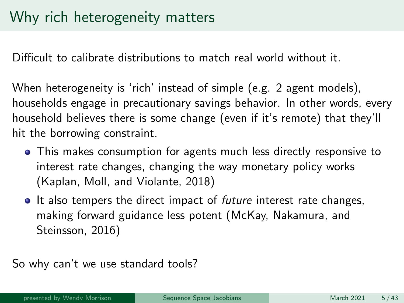Difficult to calibrate distributions to match real world without it.

When heterogeneity is 'rich' instead of simple (e.g. 2 agent models), households engage in precautionary savings behavior. In other words, every household believes there is some change (even if it's remote) that they'll hit the borrowing constraint.

- This makes consumption for agents much less directly responsive to interest rate changes, changing the way monetary policy works (Kaplan, Moll, and Violante, 2018)
- It also tempers the direct impact of *future* interest rate changes, making forward guidance less potent (McKay, Nakamura, and Steinsson, 2016)

So why can't we use standard tools?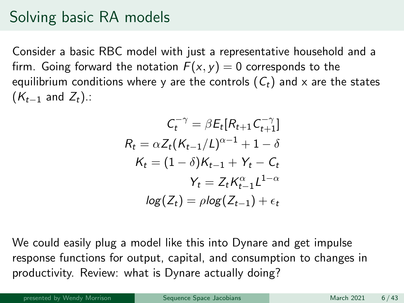# Solving basic RA models

Consider a basic RBC model with just a representative household and a firm. Going forward the notation  $F(x, y) = 0$  corresponds to the equilibrium conditions where y are the controls  $(C_t)$  and x are the states  $(K_{t-1}$  and  $Z_t$ ).:

$$
C_t^{-\gamma} = \beta E_t [R_{t+1} C_{t+1}^{-\gamma}]
$$
  
\n
$$
R_t = \alpha Z_t (K_{t-1}/L)^{\alpha-1} + 1 - \delta
$$
  
\n
$$
K_t = (1 - \delta) K_{t-1} + Y_t - C_t
$$
  
\n
$$
Y_t = Z_t K_{t-1}^{\alpha} L^{1-\alpha}
$$
  
\n
$$
log(Z_t) = \rho log(Z_{t-1}) + \epsilon_t
$$

We could easily plug a model like this into Dynare and get impulse response functions for output, capital, and consumption to changes in productivity. Review: what is Dynare actually doing?

presented by Wendy Morrison [Sequence Space Jacobians](#page-0-0) March 2021 6/43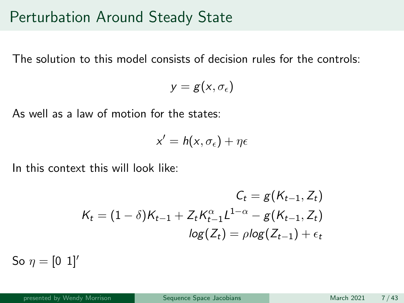#### Perturbation Around Steady State

The solution to this model consists of decision rules for the controls:

 $y = g(x, \sigma_{\epsilon})$ 

As well as a law of motion for the states:

$$
x' = h(x, \sigma_{\epsilon}) + \eta \epsilon
$$

In this context this will look like:

$$
C_{t} = g(K_{t-1}, Z_{t})
$$
  

$$
K_{t} = (1 - \delta)K_{t-1} + Z_{t}K_{t-1}^{\alpha}L^{1-\alpha} - g(K_{t-1}, Z_{t})
$$
  

$$
log(Z_{t}) = \rho log(Z_{t-1}) + \epsilon_{t}
$$

So  $\eta = [0 \; 1]$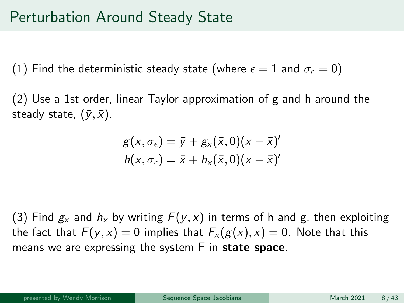#### Perturbation Around Steady State

(1) Find the deterministic steady state (where  $\epsilon = 1$  and  $\sigma_{\epsilon} = 0$ )

(2) Use a 1st order, linear Taylor approximation of g and h around the steady state,  $(\bar{y}, \bar{x})$ .

$$
g(x, \sigma_{\epsilon}) = \bar{y} + g_x(\bar{x}, 0)(x - \bar{x})'
$$
  

$$
h(x, \sigma_{\epsilon}) = \bar{x} + h_x(\bar{x}, 0)(x - \bar{x})'
$$

(3) Find  $g_x$  and  $h_x$  by writing  $F(y, x)$  in terms of h and g, then exploiting the fact that  $F(y, x) = 0$  implies that  $F_x(g(x), x) = 0$ . Note that this means we are expressing the system F in state space.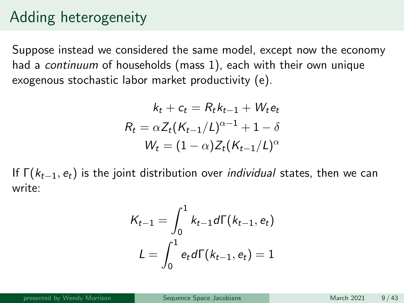# Adding heterogeneity

Suppose instead we considered the same model, except now the economy had a continuum of households (mass 1), each with their own unique exogenous stochastic labor market productivity (e).

$$
k_t + c_t = R_t k_{t-1} + W_t e_t
$$

$$
R_t = \alpha Z_t (K_{t-1}/L)^{\alpha-1} + 1 - \delta
$$

$$
W_t = (1 - \alpha) Z_t (K_{t-1}/L)^{\alpha}
$$

If  $\Gamma(k_{t-1}, e_t)$  is the joint distribution over *individual* states, then we can write:

$$
K_{t-1} = \int_0^1 k_{t-1} d\Gamma(k_{t-1}, e_t)
$$

$$
L = \int_0^1 e_t d\Gamma(k_{t-1}, e_t) = 1
$$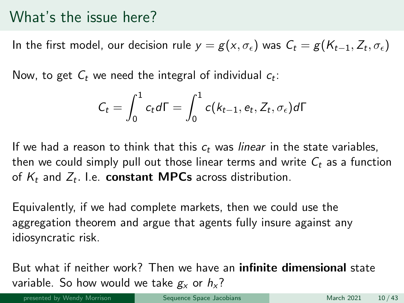#### What's the issue here?

In the first model, our decision rule  $y = g(x, \sigma_{\epsilon})$  was  $\mathcal{C}_t = g(\mathcal{K}_{t-1}, Z_t, \sigma_{\epsilon})$ 

Now, to get  $\mathcal{C}_t$  we need the integral of individual  $c_t$ :

$$
C_t = \int_0^1 c_t d\Gamma = \int_0^1 c(k_{t-1}, e_t, Z_t, \sigma_{\epsilon}) d\Gamma
$$

If we had a reason to think that this  $c_t$  was *linear* in the state variables, then we could simply pull out those linear terms and write  $C_t$  as a function of  $K_t$  and  $Z_t$ . I.e. **constant MPCs** across distribution.

Equivalently, if we had complete markets, then we could use the aggregation theorem and argue that agents fully insure against any idiosyncratic risk.

But what if neither work? Then we have an infinite dimensional state variable. So how would we take  $g_y$  or  $h_x$ ?

presented by Wendy Morrison National [Sequence Space Jacobians](#page-0-0) March 2021 10/43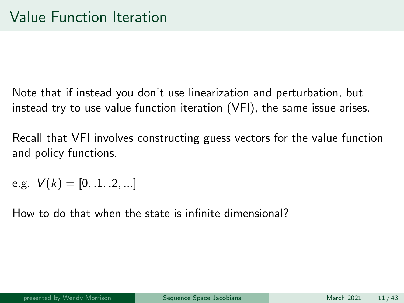Note that if instead you don't use linearization and perturbation, but instead try to use value function iteration (VFI), the same issue arises.

Recall that VFI involves constructing guess vectors for the value function and policy functions.

e.g.  $V(k) = [0, 1, 2, ...]$ 

How to do that when the state is infinite dimensional?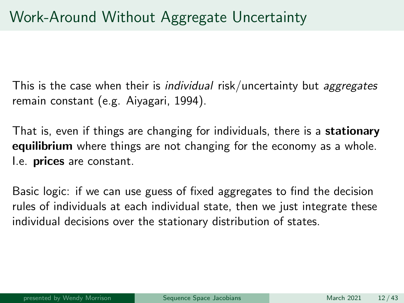This is the case when their is *individual* risk/uncertainty but *aggregates* remain constant (e.g. Aiyagari, 1994).

That is, even if things are changing for individuals, there is a **stationary equilibrium** where things are not changing for the economy as a whole. I.e. **prices** are constant.

Basic logic: if we can use guess of fixed aggregates to find the decision rules of individuals at each individual state, then we just integrate these individual decisions over the stationary distribution of states.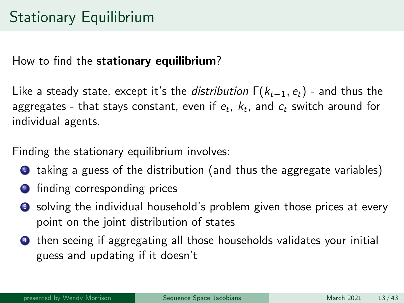# Stationary Equilibrium

How to find the stationary equilibrium?

Like a steady state, except it's the *distribution*  $\Gamma(k_{t-1}, e_t)$  - and thus the aggregates - that stays constant, even if  $e_t,\ k_t$ , and  $c_t$  switch around for individual agents.

Finding the stationary equilibrium involves:

- **1** taking a guess of the distribution (and thus the aggregate variables)
- **2** finding corresponding prices
- **3** solving the individual household's problem given those prices at every point on the joint distribution of states
- <sup>4</sup> then seeing if aggregating all those households validates your initial guess and updating if it doesn't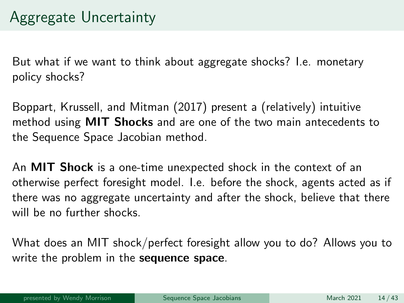But what if we want to think about aggregate shocks? I.e. monetary policy shocks?

Boppart, Krussell, and Mitman (2017) present a (relatively) intuitive method using MIT Shocks and are one of the two main antecedents to the Sequence Space Jacobian method.

An **MIT Shock** is a one-time unexpected shock in the context of an otherwise perfect foresight model. I.e. before the shock, agents acted as if there was no aggregate uncertainty and after the shock, believe that there will be no further shocks.

What does an MIT shock/perfect foresight allow you to do? Allows you to write the problem in the sequence space.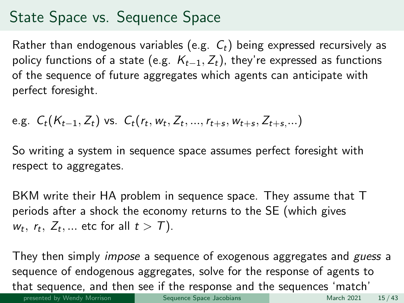# State Space vs. Sequence Space

Rather than endogenous variables (e.g.  $C_t$ ) being expressed recursively as policy functions of a state (e.g.  $K_{t-1}, Z_t$ ), they're expressed as functions of the sequence of future aggregates which agents can anticipate with perfect foresight.

e.g. 
$$
C_t(K_{t-1}, Z_t)
$$
 vs.  $C_t(r_t, w_t, Z_t, ..., r_{t+s}, w_{t+s}, Z_{t+s},...)$ 

So writing a system in sequence space assumes perfect foresight with respect to aggregates.

BKM write their HA problem in sequence space. They assume that T periods after a shock the economy returns to the SE (which gives  $w_t$ ,  $r_t$ ,  $Z_t$ , ... etc for all  $t > T$ ).

They then simply *impose* a sequence of exogenous aggregates and *guess* a sequence of endogenous aggregates, solve for the response of agents to that sequence, and then see if the response and the sequences 'match' presented by Wendy Morrison [Sequence Space Jacobians](#page-0-0) March 2021 15/43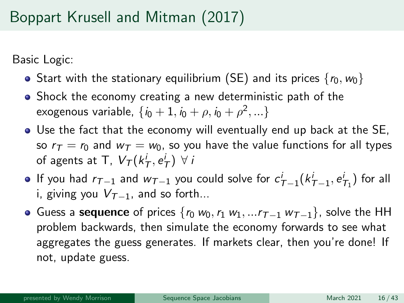# Boppart Krusell and Mitman (2017)

Basic Logic:

- Start with the stationary equilibrium (SE) and its prices  $\{r_0, w_0\}$
- Shock the economy creating a new deterministic path of the exogenous variable,  $\{ {\it i}_0+1, {\it i}_0+\rho, {\it i}_0+\rho^2,...\}$
- Use the fact that the economy will eventually end up back at the SE, so  $r_{\tau} = r_0$  and  $w_{\tau} = w_0$ , so you have the value functions for all types of agents at T,  $V_\mathcal{T}(k_\mathcal{T}^i, e_\mathcal{T}^i) \,\,\forall\, i$
- If you had  $r_{\mathcal{T}-1}$  and  $w_{\mathcal{T}-1}$  you could solve for  $c^i_{\mathcal{T}-1}(k^i_{\mathcal{T}-1},e^i_{\mathcal{T}_1})$  for all i, giving you  $V_{\tau-1}$ , and so forth...
- Guess a sequence of prices  $\{r_0 w_0, r_1 w_1, ... r_{T-1} w_{T-1}\}$ , solve the HH problem backwards, then simulate the economy forwards to see what aggregates the guess generates. If markets clear, then you're done! If not, update guess.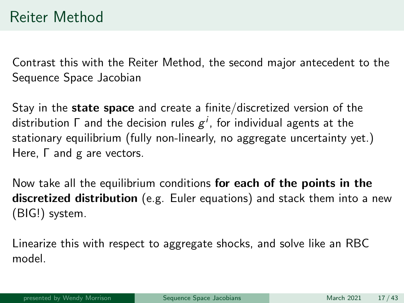Contrast this with the Reiter Method, the second major antecedent to the Sequence Space Jacobian

Stay in the **state space** and create a finite/discretized version of the distribution  $\mathsf \Gamma$  and the decision rules  $\boldsymbol{g}^i$ , for individual agents at the stationary equilibrium (fully non-linearly, no aggregate uncertainty yet.) Here, Γ and g are vectors.

Now take all the equilibrium conditions for each of the points in the discretized distribution (e.g. Euler equations) and stack them into a new (BIG!) system.

Linearize this with respect to aggregate shocks, and solve like an RBC model.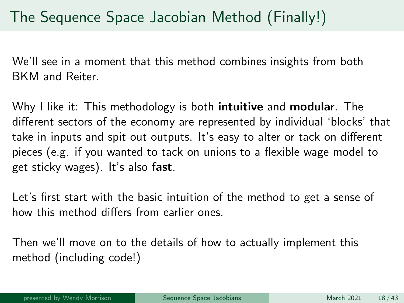We'll see in a moment that this method combines insights from both BKM and Reiter.

Why I like it: This methodology is both **intuitive** and **modular**. The different sectors of the economy are represented by individual 'blocks' that take in inputs and spit out outputs. It's easy to alter or tack on different pieces (e.g. if you wanted to tack on unions to a flexible wage model to get sticky wages). It's also fast.

Let's first start with the basic intuition of the method to get a sense of how this method differs from earlier ones.

Then we'll move on to the details of how to actually implement this method (including code!)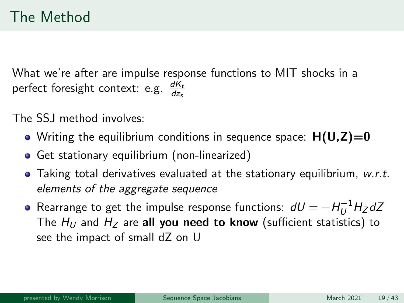# The Method

What we're after are impulse response functions to MIT shocks in a perfect foresight context: e.g.  $\frac{dK_t}{dz_s}$ 

The SS I method involves:

- Writing the equilibrium conditions in sequence space:  $H(U,Z)=0$
- Get stationary equilibrium (non-linearized)
- $\bullet$  Taking total derivatives evaluated at the stationary equilibrium, w.r.t. elements of the aggregate sequence
- Rearrange to get the impulse response functions:  $\, dU = H_U^{-1} H_Z dZ \,$ The  $H_U$  and  $H_Z$  are all you need to know (sufficient statistics) to see the impact of small dZ on U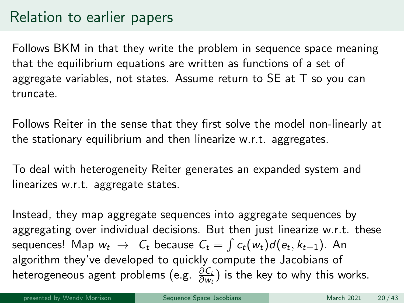# Relation to earlier papers

Follows BKM in that they write the problem in sequence space meaning that the equilibrium equations are written as functions of a set of aggregate variables, not states. Assume return to SE at T so you can truncate.

Follows Reiter in the sense that they first solve the model non-linearly at the stationary equilibrium and then linearize w.r.t. aggregates.

To deal with heterogeneity Reiter generates an expanded system and linearizes w.r.t. aggregate states.

Instead, they map aggregate sequences into aggregate sequences by aggregating over individual decisions. But then just linearize w.r.t. these sequences! Map  $w_t$   $\;\rightarrow\;$   $C_t$  because  $\mathcal{C}_t = \int c_t(w_t) d(e_t, k_{t-1})$ . An algorithm they've developed to quickly compute the Jacobians of heterogeneous agent problems (e.g.  $\frac{\partial C_t}{\partial w_t}$ ) is the key to why this works.

presented by Wendy Morrison New [Sequence Space Jacobians](#page-0-0) March 2021 20/43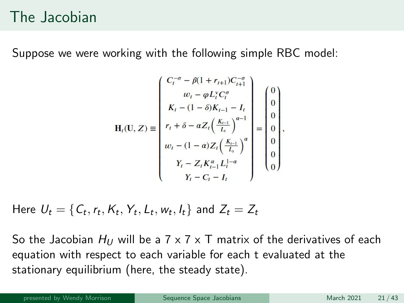#### The Jacobian

Suppose we were working with the following simple RBC model:

$$
\mathbf{H}_{t}(\mathbf{U}, Z) \equiv \begin{pmatrix} C_{t}^{-\sigma} - \beta(1 + r_{t+1})C_{t+1}^{-\sigma} \\ w_{t} - \varphi L_{t}^{\nu} C_{t}^{\sigma} \\ K_{t} - (1 - \delta)K_{t-1} - I_{t} \\ r_{t} + \delta - \alpha Z_{t} \left( \frac{K_{t-1}}{L_{t}} \right)^{\alpha-1} \\ w_{t} - (1 - \alpha) Z_{t} \left( \frac{K_{t-1}}{L_{t}} \right)^{\alpha} \\ Y_{t} - Z_{t} K_{t-1}^{\alpha} L_{t}^{1-\alpha} \\ Y_{t} - C_{t} - I_{t} \end{pmatrix} = \begin{pmatrix} 0 \\ 0 \\ 0 \\ 0 \\ 0 \\ 0 \end{pmatrix},
$$

Here  $U_t = \{\mathcal{C}_t, r_t, K_t, Y_t, \mathcal{L}_t, w_t, l_t\}$  and  $Z_t = Z_t$ 

So the Jacobian  $H_U$  will be a 7 x 7 x T matrix of the derivatives of each equation with respect to each variable for each t evaluated at the stationary equilibrium (here, the steady state).

presented by Wendy Morrison **[Sequence Space Jacobians](#page-0-0)** March 2021 21/43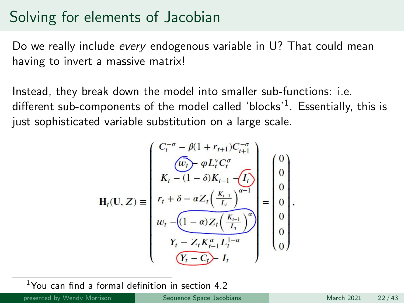### Solving for elements of Jacobian

Do we really include *every* endogenous variable in U? That could mean having to invert a massive matrix!

Instead, they break down the model into smaller sub-functions: i.e. different sub-components of the model called 'blocks' $^1$ . Essentially, this is just sophisticated variable substitution on a large scale.

$$
\mathbf{H}_{t}(\mathbf{U}, Z) \equiv \begin{pmatrix} C_{t}^{-\sigma} - \beta(1 + r_{t+1}) C_{t+1}^{-\sigma} \\ \overline{(\omega_{t})} \cdot \varphi L_{t}^{\vee} C_{t}^{\sigma} \\ K_{t} - (1 - \delta) K_{t-1} - \overline{I_{t}} \\ r_{t} + \delta - \alpha Z_{t} \left( \frac{K_{t-1}}{L_{t}} \right)^{\alpha-1} \\ w_{t} - \overline{(1 - \alpha) Z_{t} \left( \frac{K_{t-1}}{L_{t}} \right)^{\alpha}} \\ Y_{t} - Z_{t} K_{t-1}^{\alpha} L_{t}^{1-\alpha} \\ \overline{Y_{t} - C_{t}} - I_{t} \end{pmatrix} = \begin{pmatrix} 0 \\ 0 \\ 0 \\ 0 \\ 0 \\ 0 \end{pmatrix},
$$

 $1$ You can find a formal definition in section 4.2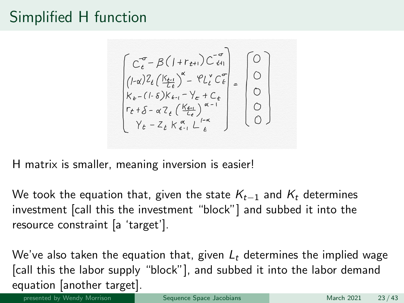## Simplified H function

 $\begin{bmatrix} C_{\ell}^{\sigma} - \beta (1 + r_{\ell+1}) C_{\ell+1}^{\sigma} \\ (1 - \alpha)^2 \ell_L (\frac{K_{\ell-1}}{\ell_{\ell}})^{\alpha} - \ell L_{\ell}^{\nu} C_{\ell}^{\sigma} \\ K_{\ell-1} (1 - \delta) K_{\ell-1} - Y_{\epsilon} + C_{\epsilon} \\ r_{\ell} + \delta - \alpha T_{\ell} (\frac{K_{\ell-1}}{\ell_{\ell}})^{\alpha-1} \\ Y_{\ell} - Z_{\ell} K_{\ell-1}^{\alpha} L_{\ell}^{\sigma} \end{bmatrix} = \begin{bmatrix} 0 \\ 0 \\ 0 \\ 0 \$ 

H matrix is smaller, meaning inversion is easier!

We took the equation that, given the state  $K_{t-1}$  and  $K_t$  determines investment [call this the investment "block"] and subbed it into the resource constraint [a 'target'].

We've also taken the equation that, given  $L_t$  determines the implied wage [call this the labor supply "block"], and subbed it into the labor demand equation [another target].

presented by Wendy Morrison **[Sequence Space Jacobians](#page-0-0)** March 2021 23/43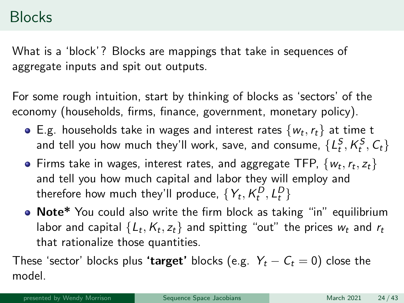#### **Blocks**

What is a 'block'? Blocks are mappings that take in sequences of aggregate inputs and spit out outputs.

For some rough intuition, start by thinking of blocks as 'sectors' of the economy (households, firms, finance, government, monetary policy).

- E.g. households take in wages and interest rates  $\{w_t, r_t\}$  at time t and tell you how much they'll work, save, and consume,  $\{ {\mathcal L}^{\mathcal{S}}_t, {\mathcal K}^{\mathcal{S}}_t, {\mathcal C}_t \}$
- Firms take in wages, interest rates, and aggregate TFP,  $\{w_t, r_t, z_t\}$ and tell you how much capital and labor they will employ and therefore how much they'll produce,  $\{Y_t, K^D_t, L^D_t\}$
- Note\* You could also write the firm block as taking "in" equilibrium labor and capital  $\{ \mathcal{L}_t, \mathcal{K}_t, z_t \}$  and spitting "out" the prices  $w_t$  and  $r_t$ that rationalize those quantities.

These 'sector' blocks plus 'target' blocks (e.g.  $Y_t - C_t = 0$ ) close the model.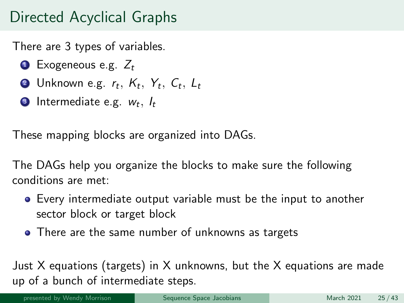# Directed Acyclical Graphs

There are 3 types of variables.

- $\bullet$  Exogeneous e.g.  $Z_t$
- $\bullet$  Unknown e.g.  $r_t,~K_t,~Y_t,~\mathcal{C}_t,~\mathcal{L}_t$
- **3** Intermediate e.g.  $w_t, l_t$

These mapping blocks are organized into DAGs.

The DAGs help you organize the blocks to make sure the following conditions are met:

- Every intermediate output variable must be the input to another sector block or target block
- There are the same number of unknowns as targets

Just X equations (targets) in X unknowns, but the X equations are made up of a bunch of intermediate steps.

presented by Wendy Morrison **[Sequence Space Jacobians](#page-0-0)** March 2021 25/43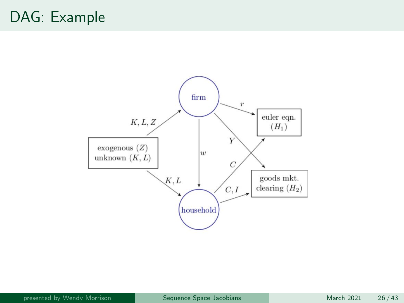# DAG: Example

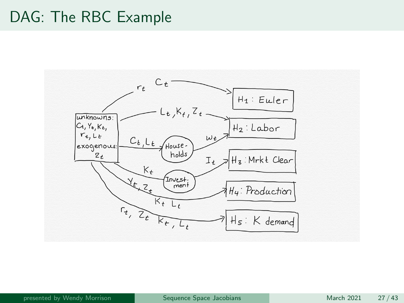#### DAG: The RBC Example

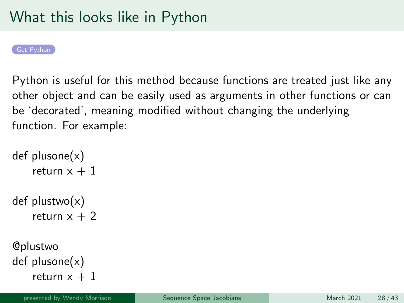<span id="page-27-0"></span>

Python is useful for this method because functions are treated just like any other object and can be easily used as arguments in other functions or can be 'decorated', meaning modified without changing the underlying function. For example:

```
def plusone(x)return x + 1def plustwo(x)return x + 2@plustwo
def plusone(x)
```
return  $x + 1$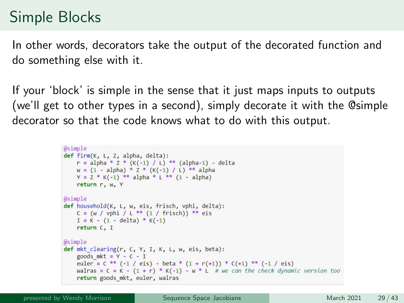# Simple Blocks

In other words, decorators take the output of the decorated function and do something else with it.

If your 'block' is simple in the sense that it just maps inputs to outputs (we'll get to other types in a second), simply decorate it with the @simple decorator so that the code knows what to do with this output.

```
@simple
def firm(K, L, Z, alpha, delta):
    r = alpha * Z * (K(-1) / L) ** (alpha-1) - deltaw = (1 - alpha) * 7 * (K(-1) / L) * * alphaY = Z * K(-1) ** alpha * L ** (1 - alpha)return r. w. Y
@simple
def household(K, L, w, eis, frisch, vphi, delta):
    C = (w / vphi / L ** (1 / frisch)) ** eisI = K - (1 - delta) * K(-1)return C. I
@simple
def mkt clearing(r, C, Y, I, K, L, w, eis, beta):
    goods mkt = Y - C - Ieuler = C ** (-1 / eis) - beta * (1 + r(+1)) * C(+1) ** (-1 / eis)
    walras = C + K - (1 + r) * K(-1) - w * L # we can the check dynamic version too
    return goods mkt, euler, walras
```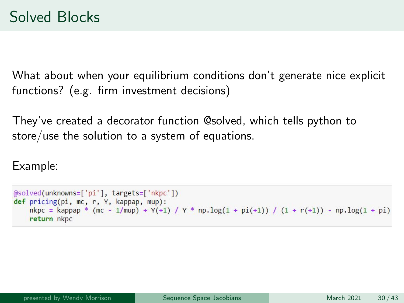What about when your equilibrium conditions don't generate nice explicit functions? (e.g. firm investment decisions)

They've created a decorator function @solved, which tells python to store/use the solution to a system of equations.

Example:

```
@solved(unknowns=['pi'], targets=['nkpc'])
def pricing(pi, mc, r, Y, kappap, mup):
    n kpc = kappap * (mc - 1/mup) + Y(+1) / Y * np.log(1 + pi(+1)) / (1 + r(+1)) - np.log(1 + pi)return nkpc
```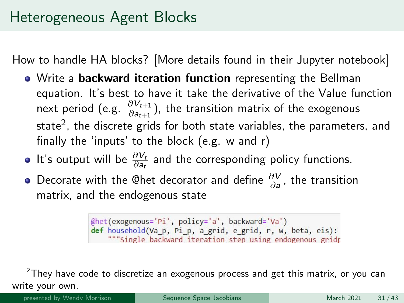How to handle HA blocks? [More details found in their Jupyter notebook]

- Write a backward iteration function representing the Bellman equation. It's best to have it take the derivative of the Value function next period (e.g.  $\frac{\partial V_{t+1}}{\partial a_{t+1}}$ ), the transition matrix of the exogenous state $^2$ , the discrete grids for both state variables, the parameters, and finally the 'inputs' to the block (e.g. w and r)
- It's output will be  $\frac{\partial V_t}{\partial a_t}$  and the corresponding policy functions.
- Decorate with the @het decorator and define  $\frac{\partial V}{\partial a}$ , the transition matrix, and the endogenous state

@het(exogenous='Pi', policy='a', backward='Va') def household(Va p, Pi p, a grid, e grid, r, w, beta, eis): """Single backward iteration step using endogenous gridr

presented by Wendy Morrison [Sequence Space Jacobians](#page-0-0) March 2021 31/43

 $2$ They have code to discretize an exogenous process and get this matrix, or you can write your own.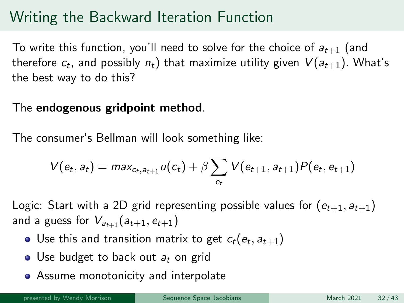# Writing the Backward Iteration Function

To write this function, you'll need to solve for the choice of  $a_{t+1}$  (and therefore  $c_t$ , and possibly  $n_t)$  that maximize utility given  $\mathit{V}(a_{t+1})$ . What's the best way to do this?

#### The endogenous gridpoint method.

The consumer's Bellman will look something like:

$$
V(e_t, a_t) = max_{c_t, a_{t+1}} u(c_t) + \beta \sum_{e_t} V(e_{t+1}, a_{t+1}) P(e_t, e_{t+1})
$$

Logic: Start with a 2D grid representing possible values for  $(e_{t+1}, a_{t+1})$ and a guess for  $V_{a_{t+1}}(a_{t+1}, e_{t+1})$ 

- Use this and transition matrix to get  $c_t(e_t, a_{t+1})$
- Use budget to back out  $a_t$  on grid
- **•** Assume monotonicity and interpolate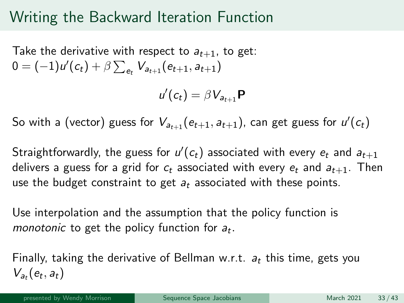#### Writing the Backward Iteration Function

Take the derivative with respect to  $a_{t+1}$ , to get:  $0 = (-1)u'(c_t) + \beta \sum_{e_t} V_{a_{t+1}}(e_{t+1}, a_{t+1})$ 

$$
u'(c_t) = \beta V_{a_{t+1}} \mathbf{P}
$$

So with a (vector) guess for  $V_{a_{t+1}}(e_{t+1},a_{t+1})$ , can get guess for  $u'(c_t)$ 

Straightforwardly, the guess for  $u'(c_t)$  associated with every  $e_t$  and  $\overline{a_{t+1}}$ delivers a guess for a grid for  $c_t$  associated with every  $e_t$  and  $a_{t+1}$ . Then use the budget constraint to get  $a_t$  associated with these points.

Use interpolation and the assumption that the policy function is monotonic to get the policy function for  $a_t$ .

Finally, taking the derivative of Bellman w.r.t.  $a_t$  this time, gets you  $V_{a_t}(e_t, a_t)$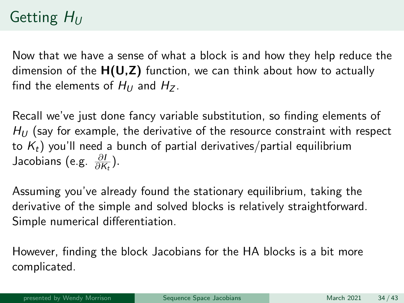# Getting  $H_U$

Now that we have a sense of what a block is and how they help reduce the dimension of the  $H(U,Z)$  function, we can think about how to actually find the elements of  $H_{U}$  and  $H_{Z}$ .

Recall we've just done fancy variable substitution, so finding elements of  $H_U$  (say for example, the derivative of the resource constraint with respect to  $K_t$ ) you'll need a bunch of partial derivatives/partial equilibrium Jacobians (e.g.  $\frac{\partial I}{\partial K_t}$ ).

Assuming you've already found the stationary equilibrium, taking the derivative of the simple and solved blocks is relatively straightforward. Simple numerical differentiation.

However, finding the block Jacobians for the HA blocks is a bit more complicated.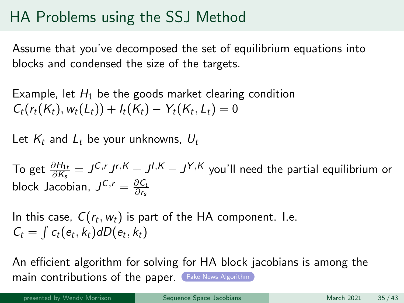# HA Problems using the SSJ Method

Assume that you've decomposed the set of equilibrium equations into blocks and condensed the size of the targets.

Example, let  $H_1$  be the goods market clearing condition  $C_t(r_t(K_t), w_t(L_t)) + I_t(K_t) - Y_t(K_t, L_t) = 0$ 

Let  $K_t$  and  $L_t$  be your unknowns,  $U_t$ 

To get  $\frac{\partial H_{1t}}{\partial K_s} = J^{C,r}J^{r,K} + J^{I,K} - J^{Y,K}$  you'll need the partial equilibrium or block Jacobian,  $J^{C,r} = \frac{\partial C_t}{\partial r_s}$ ∂rs

In this case,  $C(r_t, w_t)$  is part of the HA component. I.e.  $C_t = \int c_t(e_t, k_t) dD(e_t, k_t)$ 

An efficient algorithm for solving for HA block jacobians is among the main contributions of the paper. ([Fake News Algorithm](#page-40-0))

presented by Wendy Morrison **[Sequence Space Jacobians](#page-0-0)** March 2021 35/43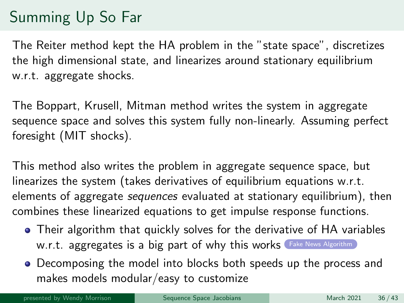# Summing Up So Far

The Reiter method kept the HA problem in the "state space", discretizes the high dimensional state, and linearizes around stationary equilibrium w.r.t. aggregate shocks.

The Boppart, Krusell, Mitman method writes the system in aggregate sequence space and solves this system fully non-linearly. Assuming perfect foresight (MIT shocks).

This method also writes the problem in aggregate sequence space, but linearizes the system (takes derivatives of equilibrium equations w.r.t. elements of aggregate sequences evaluated at stationary equilibrium), then combines these linearized equations to get impulse response functions.

- Their algorithm that quickly solves for the derivative of HA variables W.r.t. aggregates is a big part of why this works ([Fake News Algorithm](#page-40-0))
- Decomposing the model into blocks both speeds up the process and makes models modular/easy to customize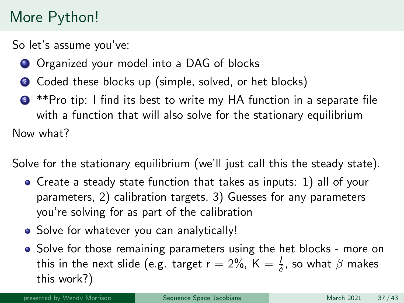# More Python!

<span id="page-36-0"></span>So let's assume you've:

- **1** Organized your model into a DAG of blocks
- 2 Coded these blocks up (simple, solved, or het blocks)
- <sup>3</sup> \*\*Pro tip: I find its best to write my HA function in a separate file with a function that will also solve for the stationary equilibrium Now what?

Solve for the stationary equilibrium (we'll just call this the steady state).

- Create a steady state function that takes as inputs: 1) all of your parameters, 2) calibration targets, 3) Guesses for any parameters you're solving for as part of the calibration
- Solve for whatever you can analytically!
- Solve for those remaining parameters using the het blocks more on this in the next slide (e.g. target r  $=$  2%, K  $=\frac{1}{\delta}$ , so what  $\beta$  makes this work?)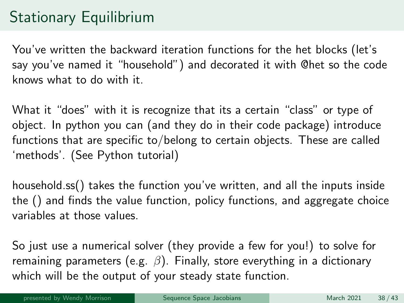# Stationary Equilibrium

You've written the backward iteration functions for the het blocks (let's say you've named it "household") and decorated it with @het so the code knows what to do with it.

What it "does" with it is recognize that its a certain "class" or type of object. In python you can (and they do in their code package) introduce functions that are specific to/belong to certain objects. These are called 'methods'. (See Python tutorial)

household.ss() takes the function you've written, and all the inputs inside the () and finds the value function, policy functions, and aggregate choice variables at those values.

So just use a numerical solver (they provide a few for you!) to solve for remaining parameters (e.g.  $\beta$ ). Finally, store everything in a dictionary which will be the output of your steady state function.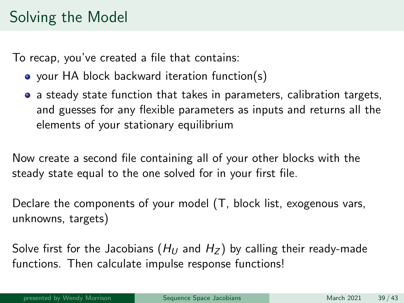# Solving the Model

To recap, you've created a file that contains:

- your HA block backward iteration function(s)
- a steady state function that takes in parameters, calibration targets, and guesses for any flexible parameters as inputs and returns all the elements of your stationary equilibrium

Now create a second file containing all of your other blocks with the steady state equal to the one solved for in your first file.

Declare the components of your model (T, block list, exogenous vars, unknowns, targets)

Solve first for the Jacobians ( $H_U$  and  $H_Z$ ) by calling their ready-made functions. Then calculate impulse response functions!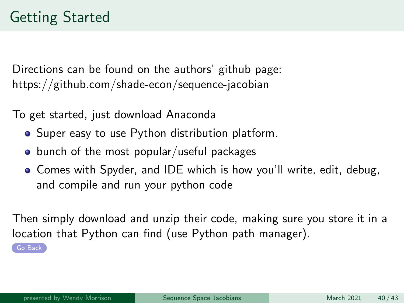<span id="page-39-0"></span>Directions can be found on the authors' github page: https://github.com/shade-econ/sequence-jacobian

To get started, just download Anaconda

- Super easy to use Python distribution platform.
- $\bullet$  bunch of the most popular/useful packages
- Comes with Spyder, and IDE which is how you'll write, edit, debug, and compile and run your python code

Then simply download and unzip their code, making sure you store it in a location that Python can find (use Python path manager).

[Go Back](#page-27-0)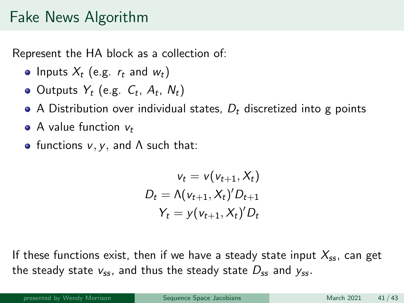#### Fake News Algorithm

<span id="page-40-0"></span>Represent the HA block as a collection of:

- Inputs  $X_t$  (e.g.  $r_t$  and  $w_t$ )
- Outputs  $Y_t$  (e.g.  $C_t$ ,  $A_t$ ,  $N_t$ )
- A Distribution over individual states,  $D_t$  discretized into g points
- $\bullet$  A value function  $v_t$
- functions  $v, v,$  and  $\Lambda$  such that:

$$
v_t = v(v_{t+1}, X_t)
$$
  

$$
D_t = \Lambda(v_{t+1}, X_t)' D_{t+1}
$$
  

$$
Y_t = y(v_{t+1}, X_t)' D_t
$$

If these functions exist, then if we have a steady state input  $X_{ss}$ , can get the steady state  $v_{ss}$ , and thus the steady state  $D_{ss}$  and  $y_{ss}$ .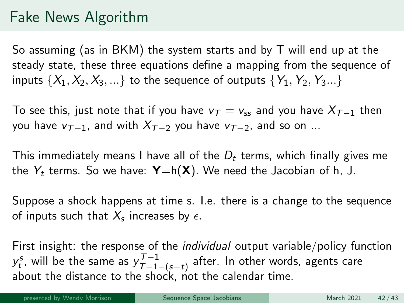## Fake News Algorithm

So assuming (as in BKM) the system starts and by T will end up at the steady state, these three equations define a mapping from the sequence of inputs  $\{X_1, X_2, X_3, ...\}$  to the sequence of outputs  $\{Y_1, Y_2, Y_3...\}$ 

To see this, just note that if you have  $v_T = v_{ss}$  and you have  $X_{T-1}$  then you have  $v_{T-1}$ , and with  $X_{T-2}$  you have  $v_{T-2}$ , and so on ...

This immediately means I have all of the  $D_t$  terms, which finally gives me the  $Y_t$  terms. So we have:  $\mathbf{Y} = h(\mathbf{X})$ . We need the Jacobian of h, J.

Suppose a shock happens at time s. I.e. there is a change to the sequence of inputs such that  $X_s$  increases by  $\epsilon.$ 

First insight: the response of the individual output variable/policy function  $y_t^s$ , will be the same as  $y_{\mathcal{T}-1}^{\mathcal{T}-1}$  $\frac{t-1}{T-1-(s-t)}$  after. In other words, agents care about the distance to the shock, not the calendar time.